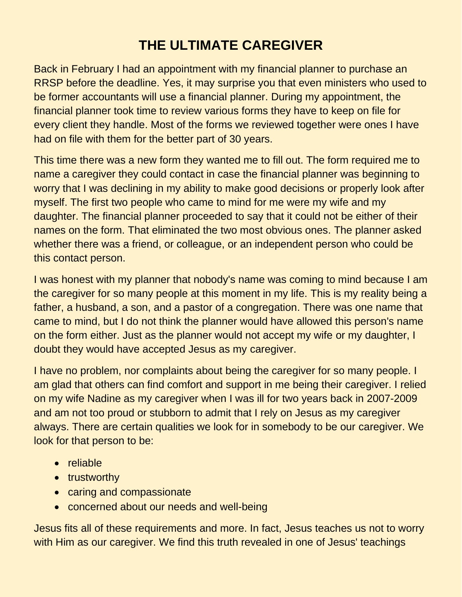## **THE ULTIMATE CAREGIVER**

Back in February I had an appointment with my financial planner to purchase an RRSP before the deadline. Yes, it may surprise you that even ministers who used to be former accountants will use a financial planner. During my appointment, the financial planner took time to review various forms they have to keep on file for every client they handle. Most of the forms we reviewed together were ones I have had on file with them for the better part of 30 years.

This time there was a new form they wanted me to fill out. The form required me to name a caregiver they could contact in case the financial planner was beginning to worry that I was declining in my ability to make good decisions or properly look after myself. The first two people who came to mind for me were my wife and my daughter. The financial planner proceeded to say that it could not be either of their names on the form. That eliminated the two most obvious ones. The planner asked whether there was a friend, or colleague, or an independent person who could be this contact person.

I was honest with my planner that nobody's name was coming to mind because I am the caregiver for so many people at this moment in my life. This is my reality being a father, a husband, a son, and a pastor of a congregation. There was one name that came to mind, but I do not think the planner would have allowed this person's name on the form either. Just as the planner would not accept my wife or my daughter, I doubt they would have accepted Jesus as my caregiver.

I have no problem, nor complaints about being the caregiver for so many people. I am glad that others can find comfort and support in me being their caregiver. I relied on my wife Nadine as my caregiver when I was ill for two years back in 2007-2009 and am not too proud or stubborn to admit that I rely on Jesus as my caregiver always. There are certain qualities we look for in somebody to be our caregiver. We look for that person to be:

- reliable
- trustworthy
- caring and compassionate
- concerned about our needs and well-being

Jesus fits all of these requirements and more. In fact, Jesus teaches us not to worry with Him as our caregiver. We find this truth revealed in one of Jesus' teachings